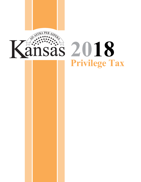

# **20 18Privilege Tax**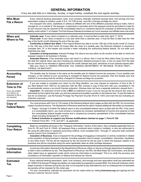# **GENERAL INFORMATION**

*If any due date falls on a Saturday, Sunday, or legal holiday, substitute the next regular workday.*

| <b>Who Must</b><br><b>File a Return</b>                                                                                       | Every national banking association, bank, trust company, federally chartered savings bank, and savings and loan<br>association subject to taxation under K.S.A. 79-1106 et seq. must file a Kansas privilege tax return.<br>Any taxpayer who owns, capitalizes or utilizes an affiliate with one of the affiliate's purposes being to make, hold or<br>manage for, or on behalf of, the taxpayer, investments in securities which the taxpayer would be permitted to make for<br>its own account may be required to file consolidated returns or combined reports for purposes of determining the tax<br>liability under article 11 of chapter 79 of the Kansas Statutes Annotated as if such taxpayer and affiliate were one entity.                                                                                                                                                                                                                                                                                                                                                                                                                                                                                                                                                                                                                        |
|-------------------------------------------------------------------------------------------------------------------------------|--------------------------------------------------------------------------------------------------------------------------------------------------------------------------------------------------------------------------------------------------------------------------------------------------------------------------------------------------------------------------------------------------------------------------------------------------------------------------------------------------------------------------------------------------------------------------------------------------------------------------------------------------------------------------------------------------------------------------------------------------------------------------------------------------------------------------------------------------------------------------------------------------------------------------------------------------------------------------------------------------------------------------------------------------------------------------------------------------------------------------------------------------------------------------------------------------------------------------------------------------------------------------------------------------------------------------------------------------------------|
| When and<br><b>Where to File</b>                                                                                              | Calendar year: If your return is based on a calendar year, it must be filed no later than April 17, 2018.<br>Fiscal year: If your return is based on a tax year other than a calendar year, it must be filed no later than the 15th<br>day of the fourth month following the end of the tax year.<br>Conformity to federal due dates: If the original federal due date is not the 15th day of the fourth month (C-Corps)<br>or the 15th day of the third month (S-Corps) after the close of a taxable year, the financial institution is required to<br>complete item "H" in the header and enclose a letter indicating the authorizing federal statute. Do not enter your<br>extended due date.<br>Cessation of doing business: Kansas Privilege Tax returns are due within six (6) months of the date on which the<br>taxpayer ceases to do business in Kansas.<br>Amended Returns: If the amended return will result in a refund, then it must be filed within three (3) years from<br>the date the original return was due including any extension allowed pursuant to law, or two (2) years from the date<br>the tax claimed to be refunded or against which the credit claimed was paid, whichever of such periods expires later.<br>Mail your return to: KANSAS PRIVILEGE TAX, KANSAS DEPARTMENT OF REVENUE, PO BOX 758571,<br>TOPEKA, KS 66675-8571. |
| <b>Accounting</b><br><b>Period</b>                                                                                            | The taxable year for Kansas is the same as the taxable year for federal income tax purposes. If your taxable year<br>changes, or the method of your accounting is changed for federal income tax purposes, then the taxable year and<br>method of accounting shall be similarly changed for Kansas privilege tax purposes.                                                                                                                                                                                                                                                                                                                                                                                                                                                                                                                                                                                                                                                                                                                                                                                                                                                                                                                                                                                                                                   |
| <b>Extension of</b><br><b>Time to File</b><br>If you are entitled<br>to a refund, an<br>extension to file is<br>not required. | If you are unable to complete your return by the filing deadline, you may request an extension of time to file. If<br>you filed federal Form 7004 for an extension with the IRS, enclose a copy of that form with your completed K-130<br>to automatically receive a six-month Kansas extension. (Kansas does not have a separate extension request form.)<br>Important—An extension of time to file is NOT an extension to pay. If you do not pay the tax amount due (may be<br>estimated) by the original due date, you will owe interest and possibly a penalty on the balance due. To pay the balance<br>due for an extension, use the Kansas Privilege Tax Payment Voucher (Form K-130V) and mark the box indicating an<br>extension payment.                                                                                                                                                                                                                                                                                                                                                                                                                                                                                                                                                                                                           |
| Copy of<br><b>Federal Return</b>                                                                                              | You must enclose with Form K-130 copies of the following federal return pages as filed with the IRS. Do not enclose<br>copies of proforma returns. The Department of Revenue reserves the right to request additional information as necessary.<br>• Pages 1 through 5 of either the federal return or the consolidated federal return as filed with the IRS. If the return<br>is a consolidated return, you must enclose a company-by-company spreadsheet of income and expense to total<br>the consolidated federal taxable income and a company-by-company spreadsheet of the consolidated balance<br>sheet including Schedules M-1 and M-2.<br>• Federal schedules to support any Kansas modifications claimed on page 1, Form K-130.<br>• Federal Forms 851, 1118, and 5471, as applicable.                                                                                                                                                                                                                                                                                                                                                                                                                                                                                                                                                             |
| <b>Completing</b><br><b>Your Return</b>                                                                                       | Begin by completing all boxes in the "Taxpayer Information" section of the return, then complete applicable lines on<br>Form K-130 and Form K-130AS. All taxpayers filing a combined return (single or multiple), or who are authorized to<br>file using the alternative or separate accounting method, must complete lines 1 through 21 using the total combined<br>income column from Schedule K-131.<br>Cessation of Business: A tax is imposed for the privilege of engaging in transaction or activity incidental or related<br>to the cessation of doing business in Kansas, including cessation due to merger, consolidation, dissolution, liquidation<br>or any other event. The tax will be measured by the net income for the tax year in which the taxpayer ceases to do<br>business and will be computed using the same applicable rates as other privilege taxpayers.                                                                                                                                                                                                                                                                                                                                                                                                                                                                           |
| <b>Confidential</b><br><b>Information</b>                                                                                     | Income tax information disclosed to the Department of Revenue, either on returns or through department investigation,<br>is held in strict confidence by law. The Department of Revenue, the IRS, the Multi-State Tax Commission, and several<br>other states have an agreement under which some tax information is exchanged. This is to verify the accuracy and<br>consistency of information reported on federal and Kansas tax returns.                                                                                                                                                                                                                                                                                                                                                                                                                                                                                                                                                                                                                                                                                                                                                                                                                                                                                                                  |
| <b>Estimated</b><br>Tax                                                                                                       | Every national banking association, bank, trust company, and savings and loan association shall pay estimated tax<br>(K-130ES) if its Kansas Privilege tax liability can reasonably be expected to exceed \$500. Any financial institution which<br>began business in Kansas during this tax year is not required to pay estimated tax and no underpayment of estimated<br>tax penalty will be imposed for this initial year.<br>For your convenience, estimate tax payments can be made online by visiting <b>ksrevenue.org</b> and signing into the<br>Kansas Customer Service Center.                                                                                                                                                                                                                                                                                                                                                                                                                                                                                                                                                                                                                                                                                                                                                                     |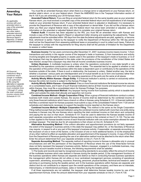#### **Amending Your Return**

*As applicable, enclose with your amended return a copy of the amended federal return, any other state's amended return(s), and/or any federal Revenue Agent's Report(s), or federal adjustment letter(s).*

You must file an amended Kansas return when there is a change (error or adjustment) on your Kansas return, on another state's return, or on your federal return. Check the AMENDED box in the Taxpayer Information section of the K-130 if you are amending your 2018 Kansas return.

**Amended Federal Return**: If you are filing an amended federal return for the same taxable year as your amended Kansas return, you must enclose a complete copy of the amended federal return and full explanations of all changes made on your amended Kansas return. If your amended federal return is adjusted or disallowed, it is necessary to provide the Department of Revenue with a copy of the adjustment or denial letter. If you did not file a Kansas return when you filed your original federal return, and the federal return has since been amended or adjusted, use the information on the amended or adjusted federal return to complete your original Kansas return.

**Federal Audit**: If income has been adjusted by the IRS, you must file an amended return with Kansas and include a copy of the Revenue Agent's Report or adjustment letter showing and explaining the adjustments. These adjustments must be submitted within 180 days from the date the federal adjustments are paid, agreed to, or become final, whichever is earlier. Failure by the taxpayer to notify the Department of Revenue within the 180 day period shall not bar the Department from assessing additional taxes or proceeding in court to collect such taxes. Failure by the taxpayer to comply with the requirements for filing returns shall toll the periods of limitation for the Department to assess or collect taxes.

**Definitions**

*All financial institutions filing a combined return (single or multiple), or are authorized to file using the alternative or separate accounting method, must complete lines 1 through 21 using the total combined income column from Schedule K-131.*

**Business Income**: For tax years commencing after December 31, 2007, business income means income: 1) from transactions and activity in the regular course of the taxpayer's trade or business; 2) from transactions and activity involving tangible and intangible property or assets used in the operation of the taxpayer's trade or business; or 3) of the taxpayer that may be apportioned to this state under the provisions of the constitution of the United States and laws thereof, except that a taxpayer may elect that all income constitutes business income.

**Unitary Business**: A multistate business is unitary when the operations conducted in one state benefit or are benefited by the operations conducted in another state or states. The essential test to be applied is whether or not the operation of the portion of the business within the state is dependent upon or contributory to the operations of the business outside of the state. If there is such a relationship, the business is unitary. Stated another way, the test is whether a business' various parts are interdependent and of mutual benefit so as to form one business rather than several business entities and not whether the operating experience of the parts are the same at all places.

**Activity Wholly Within Kansas—Single Entity**: If a financial institution's activity is carried on exclusively within Kansas the entire net income is subject to the Kansas Privilege Tax.

**Activity Wholly Within Kansas—Consolidated**: If two or more financial institutions file federal income tax returns on a consolidated basis, and if each of such financial institutions derive all their income and expenses from sources within Kansas, they must file a consolidated return for Kansas Privilege Tax purposes.

**Single Entity Apportionment Method**: Any taxpayer having income from business activity which is taxable both within and outside this state shall allocate and apportion net income.

**Combined Income Method—Single Corporation Filing**: When a group of financial institutions conduct a unitary business both inside and outside Kansas, the source of income shall be determined by the combined income of only those financial institutions which have a branch or office in Kansas using Schedule K-131. A financial institution that files a combined report for Kansas purposes must submit a copy of the consolidated Federal Form 1120 and all schedules and statements necessary to support the taxable income reported on the Kansas return.

**Combined Income Method—Multiple Corporation Filing**: This method is the same as the Single Corporation Filing method except that any financial institution using the combined income method with more than one entity doing business in Kansas may file one Kansas return reporting the total combined income on that return and computing and paying the tax due on that return. Schedule K-131 must be used to determine the Kansas taxable income of each separate corporation and the combined Kansas taxable income is then entered on line 21, K-130. The tax rate is then applied to the Kansas taxable income of each financial institution with one surtax exemption allowed for each privilege taxpayer. The total tax due for all corporations is then shown on line 24, Schedule K-131.

**Alternative Accounting Method**: If the uniform allocation and apportionment provisions do not fairly represent the extent of the taxpayer's business activity in this state the taxpayer may petition for, or the Secretary of Revenue may require, in respect to all or any part of the taxpayer's business activity, if reasonable: a) separate accounting; b) the exclusion of one or more of the factors; c) the inclusion of one or more additional factors; or d) the employment of any other method to effect an equitable allocation and apportionment of the taxpayer's income. A copy of the letter from the Department of Revenue granting the use of an alternative method must be attached to the return when filed. Enter the amount determined from your separate schedule on line 21, Form K-130.

**Separate Accounting Method**: The separate method of reporting income to Kansas is allowable only in unusual circumstances and with the permission of the Department of Revenue where the use of the three-factor formula does not fairly represent the taxpayer's business activity. Before a taxpayer, engaged in a multistate business, may separately account taxable income to Kansas, the following requirements shall be satisfied:

1) The books and records are kept by recognized accounting standards to accurately reflect the amount of income of the multistate business which was realized in Kansas during the taxable period; 2) the management functions of the business operations within Kansas are separate and distinct so that in conducting Kansas business operations the management within Kansas did not utilize or incur centralized management services consisting of operational supervision, advertising, accounting, insurance, financing, personnel, physical facilities, technical and research, sale/ servicing or purchasing during the taxable period; and 3) the business operations within Kansas are separate and distinct and do not contribute to or depend upon the overall operations of the company, and there are no interstate, intercompany, or interdivisional purchases, sales or transfers during the taxable period.

If all three requirements are not satisfied, the taxpayer shall determine Kansas taxable income by use of the apportionment formula. Enter the amount determined from your separate schedule on line 21, Form K-130.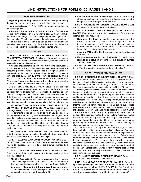#### **TAXPAYER INFORMATION**

**Beginning and Ending Dates**: Enter the beginning and ending dates of the corporation's tax year, even if it is a calendar year.

**Name and Address**: PRINT or TYPE your name and address in the spaces provided.

**Information Requested in Boxes A through l**: Complete all requested information. For item A, refer to page 3. If any *Taxpayer Information* has changed from the last original return filed by you, check the change box "I" so the tax account information can be updated.

**Final Return**: If a final return is being filed and the corporation is being liquidated, enclose a copy of the federal form that states the federal code section the corporation was liquidated under.

#### **INCOME**

**LINE 1—FEDERAL TAXABLE INCOME FOR KANSAS PRIVILEGE TAX PURPOSES**. This line must only include income and expense of national banking associations, federally chartered savings banks or trust companies.

All financial institutions filing a combined return (single or multiple), or that are authorized to file using the alternative or separate accounting method, must complete lines 1 through 21 using the total combined income column from Schedule K-131. You are to complete lines 19 through 42 of the K-130, as applicable. If filing as a S corporation for federal purposes, enter the amount from Part IV, line 30. A copy of certain pages of the federal return must be enclosed in all cases. See instructions on page 2.

**LINE 2—STATE AND MUNICIPAL INTEREST**. Enter the total amount that was claimed as exempt income on the federal income tax return for the taxable year, less any related expenses directly incurred in the purchase of state or political subdivision obligations. If the bank has changed the method of accounting from cash to accrual, include the Section 481 adjustment on municipal interest using the same number of year spread allowed at the federal level.

**LINE 3—TAXES ON OR MEASURED BY INCOME OR FEES OR PAYMENT IN LIEU OF INCOME TAXES (does not include privilege taxes).** Enter the taxes on or measured by income or fees or payments in lieu of income taxes which you deducted on your federal return in arriving at federal taxable income (this figure should not include privilege taxes). Federal environmental tax must be added back to federal taxable income to the extent it is used as a deduction in arriving at federal taxable income. If additional space is needed, itemize these taxes on a separate schedule and enclose it with your return.

**LINE 4—FEDERAL NET OPERATING LOSS DEDUCTION**. Enter the federal net operating loss deduction that was claimed on the federal income tax return for the taxable year.

**LINE 5—SAVINGS AND LOAN ASSOCIATION BAD DEBT DEDUCTION**. Enter amount of bad debts allowable for federal income tax purposes. Use line 20 for the allowable Kansas bad debt deduction.

**LINE 6—OTHER ADDITIONS TO FEDERAL TAXABLE INCOME.**  Enter the total of these additions to your federal taxable income (schedule required):

- **• Disabled Access Credit**. Amount of any depreciation deduction or business expense deduction claimed on your federal return that was used to determine this credit on your Schedule K-37.
- **• Community Service Contribution Credit**. Amount of any charitable contributions claimed on your federal return used to compute this credit on your Schedule K-60.

**• Low Income Student Scholarship Credit**. Amount of any charitable contribution claimed on your federal return used to compute this credit on your Schedule K-70.

**LINE 7—ADDITIONS TO FEDERAL TAXABLE INCOME. Add**  lines 2 through 6 and enter the result on line 7.

**LINE 8—SUBTRACTIONS FROM FEDERAL TAXABLE INCOME.** Enter a total of these subtractions from your federal taxable income (schedule required):

- **Refunds or Credits.** Any refund or credit for overpayment of taxes on or measured by income or fees or payments in lieu of income taxes imposed by this state, or any taxing jurisdiction to the extent they are included in federal taxable income (this figure should not include privilege taxes).
- **• Jobs and WIN Tax Credit**. The amount of federal targeted jobs and WIN credit.
- **• Kansas Venture Capital, Inc. Dividends**. Dividend income received as a result of investing in stock issued by Kansas Venture Capital, Inc.

**LINE 9—NET INCOME BEFORE APPORTIONMENT**. Add line 1 to line 7 and subtract line 8 and enter the result in line 9.

#### **APPORTIONMENT AND ALLOCATION**

**LINE 10—NONBUSINESS INCOME-TOTAL COMPANY**. Enter the total amount of nonbusiness net income everywhere that is to be directly allocated. Business income is defined in privilege tax law as all income to the extent that it may be treated as apportionable business income under the constitution of the United States.

Any taxpayer that claims nonbusiness income on the Kansas return is required to clearly demonstrate that the asset which generated the income is not used in the general operations of the company and is not managed or controlled by the same people who control the operations of the company. The taxpayer must also submit a schedule as required below. If the taxpayer does not demonstrate that the income is nonbusiness and does not submit the required schedule(s), the income will be considered to be business income by the Department of Revenue and it will be apportioned in that manner.

From the terms of income directly allocated, there shall be deducted the expenses related thereto. The term "expenses related thereto" as used in this paragraph, mean any allowable deduction or portion thereof directly attributable to such income and a ratable part of any other allowable deductions which cannot definitely be allocated to some item or a class of income.

A schedule must accompany the return showing: 1) gross income from each class of income being specifically allocated; 2) amount of each class of related expenses together with an explanation or computations showing how amounts were computed; 3) total amount of the related expenses for each income class; and, 4) net income for each income class. The schedule should provide appropriate columns as set forth above for items specifically assigned to Kansas and also for times specifically assigned outside Kansas. Also submit documentation that explains why each item of income does not arise from transactions and activity in the regular course of the financial institution's trade or business.

**LINE 11—APPORTIONABLE BUSINESS INCOME**. Subtract line 10 from line 9 and enter the result on line 11.

**LINE 12—AVERAGE PERCENT TO KANSAS**. Enter the applicable percentages in spaces A, B and C. Enter on line 12 the average percent from Form K-130AS, Part V, line E or Form K-131, Part II, line 5. **Note:** Round percentage to the fourth decimal point only. If your business is wholly within Kansas enter 100.0000.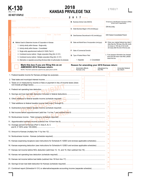

# **K-130 EXECUTE:**<br> **KANSAS PRIVILEGE TAX**

|                 | For the taxable year beginning                                                                                                           | $\mathbf{2}$<br>$\mathbf 0$<br>1                                               | $\mathbf{Z}$ ; ending |  |                 |                                                                                                                              |                  |                                                                        |
|-----------------|------------------------------------------------------------------------------------------------------------------------------------------|--------------------------------------------------------------------------------|-----------------------|--|-----------------|------------------------------------------------------------------------------------------------------------------------------|------------------|------------------------------------------------------------------------|
|                 | <b>Name</b>                                                                                                                              | <b>B.</b> Business Activity Code (NAICS)                                       |                       |  |                 |                                                                                                                              |                  | Employer's Identification Numbers (EINs)<br>(Enter both if applicable) |
|                 | <b>Number and Street of Principal Office</b>                                                                                             | C. Date Business Began in KS (mm/dd/yyyy)                                      |                       |  |                 |                                                                                                                              | EIN this entity: |                                                                        |
|                 | City<br><b>Zip Code</b><br><b>State</b>                                                                                                  | D. Date Business Discontinued in KS (mm/dd/yyyy)                               |                       |  |                 | <b>EIN Federal Consolidated Parent:</b>                                                                                      |                  |                                                                        |
| ing Information | A. Method Used to Determine Income of Corporation in Kansas<br>1. Activity wholly within Kansas - Single entity                          | E. State and Month/Year of Incorporation (mm/yyyy)                             |                       |  |                 | H. Enter your original federal due date if<br>other than the 15th day of the 4th month<br>(C-Corps) or 15th day of 3rd month |                  |                                                                        |
|                 | 2. Activity wholly within Kansas - Consolidated                                                                                          | <b>F</b> . State of Commercial Domicile                                        |                       |  |                 |                                                                                                                              |                  | (S-Corps) after the end of the tax year.                               |
|                 | 3. Single entity apportionment method (K-130AS, Part V)<br>4. Combined income method - Single corporation filing (Sch. K-131)            |                                                                                |                       |  |                 |                                                                                                                              |                  | I. If any taxpayer information has changed                             |
|                 | 5. Combined income method - Multiple corporation filing (Sch. K-131)                                                                     | G. Type of Federal Return Filed                                                |                       |  |                 |                                                                                                                              |                  | since the last return was filed, please<br>check this box.             |
|                 | 6. Alternative or separate accounting (Enclose letter of authorization & schedule)                                                       | 1. Separate                                                                    |                       |  | 2. Consolidated |                                                                                                                              |                  |                                                                        |
|                 | Mark this box if you are filing this as an<br>AMENDED 2018 Kansas return.<br>NOTE: This form cannot be used for tax years prior to 2018. | Reason for amending your 2018 Kansas return:<br>Amended affects<br>Kansas only |                       |  |                 | Adjustment by<br>the IRS                                                                                                     |                  | Amended federal<br>tax return                                          |
|                 |                                                                                                                                          |                                                                                |                       |  |                 |                                                                                                                              |                  |                                                                        |
|                 |                                                                                                                                          |                                                                                | $\overline{2}$        |  |                 |                                                                                                                              |                  |                                                                        |
|                 | 3. Taxes on or measured by income or fees or payment in lieu of income taxes (does                                                       |                                                                                | $\overline{3}$        |  |                 |                                                                                                                              |                  |                                                                        |
|                 |                                                                                                                                          |                                                                                |                       |  |                 |                                                                                                                              |                  |                                                                        |
|                 | 5. Savings and loan bad debt deduction included in federal deductions                                                                    |                                                                                |                       |  |                 |                                                                                                                              |                  |                                                                        |
|                 | 6. Other additions to federal taxable income (schedule required)                                                                         |                                                                                | 6                     |  |                 |                                                                                                                              |                  |                                                                        |
|                 |                                                                                                                                          |                                                                                |                       |  |                 |                                                                                                                              | $\overline{7}$   |                                                                        |
|                 |                                                                                                                                          |                                                                                |                       |  |                 |                                                                                                                              | 8                |                                                                        |
|                 |                                                                                                                                          |                                                                                |                       |  |                 |                                                                                                                              | 9                |                                                                        |
|                 |                                                                                                                                          |                                                                                |                       |  |                 |                                                                                                                              | 10 <sup>°</sup>  |                                                                        |
|                 |                                                                                                                                          |                                                                                |                       |  |                 |                                                                                                                              | 11               |                                                                        |
|                 | 12. Average percent to Kansas (Part V, lines A, B, C                                                                                     |                                                                                |                       |  |                 |                                                                                                                              | 12               |                                                                        |
|                 |                                                                                                                                          |                                                                                |                       |  |                 |                                                                                                                              | 13 <sup>°</sup>  |                                                                        |
|                 |                                                                                                                                          |                                                                                |                       |  |                 |                                                                                                                              | 14               |                                                                        |
|                 | 15. Kansas expensing recapture (see instructions for Schedule K-120EX and enclose applicable schedules)                                  |                                                                                |                       |  |                 |                                                                                                                              | 15 <sup>15</sup> |                                                                        |
|                 | 16. Kansas expensing deduction (see instructions for Schedule K-120EX and enclose applicable schedules)                                  |                                                                                |                       |  |                 |                                                                                                                              | 16               |                                                                        |
|                 |                                                                                                                                          |                                                                                |                       |  |                 |                                                                                                                              | 17               |                                                                        |
|                 |                                                                                                                                          |                                                                                |                       |  |                 |                                                                                                                              | 18               |                                                                        |
|                 |                                                                                                                                          |                                                                                |                       |  |                 |                                                                                                                              | 19               |                                                                        |
|                 |                                                                                                                                          |                                                                                |                       |  |                 |                                                                                                                              | 20               |                                                                        |
|                 |                                                                                                                                          |                                                                                |                       |  |                 |                                                                                                                              | 21               |                                                                        |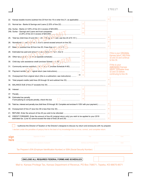#### 170117

|                                                                                                                           |                 | 22 |                                                     |
|---------------------------------------------------------------------------------------------------------------------------|-----------------|----|-----------------------------------------------------|
|                                                                                                                           |                 |    |                                                     |
|                                                                                                                           |                 |    |                                                     |
|                                                                                                                           | 24a             |    |                                                     |
| 24b. Surtax - Savings and Loans and trust companies                                                                       | 24 <sub>b</sub> |    |                                                     |
|                                                                                                                           |                 | 25 |                                                     |
|                                                                                                                           |                 | 26 |                                                     |
| 27. Balar ce suburact line 26 from line 25; if less than zero (normal) manument communication communication communication |                 | 27 |                                                     |
|                                                                                                                           | 28              |    | If this is your ORIGINAL                            |
|                                                                                                                           | 29              |    | Kansas return, skip lines<br>32 and 33 and continue |
|                                                                                                                           | 30              |    | to line 34.                                         |
| 31. Community service contribution or letter in diverse Schedule K-60)                                                    | 31              |    | If this is your<br><b>AMENDED Kansas</b>            |
|                                                                                                                           | 32              |    | return, complete lines<br>32 and 33 before          |
| 33. Overpayment from original return (this is a subtraction; see instructions)                                            | 33              |    | continuing to line 34.                              |
|                                                                                                                           |                 | 34 |                                                     |
|                                                                                                                           |                 | 35 |                                                     |
|                                                                                                                           |                 |    |                                                     |
|                                                                                                                           |                 |    |                                                     |
| 38. Estimated tax penalty<br>If annualizing to compute penalty, check this box                                            | 38              |    |                                                     |
| 39. Total tax, interest and penalty due (Add lines 35 through 38. Complete and enclose K-130V with your payment.)         |                 | 39 |                                                     |
|                                                                                                                           |                 | 40 |                                                     |
|                                                                                                                           |                 | 41 |                                                     |
| 42. CREDIT FORWARD. Enter the amount of line 40 (original return only) you wish to be applied to your 2019                |                 | 42 |                                                     |
|                                                                                                                           |                 |    |                                                     |

I authorize the Director of Taxation or the Director's designee to discuss my return and enclosures with my preparer.

I declare under the penalties of perjury that to the best of my knowledge this is a true, correct, and complete return.

| sign<br>here | Signature of officer                                                                | Title                    | Date |
|--------------|-------------------------------------------------------------------------------------|--------------------------|------|
|              | Individual or firm signature of preparer                                            | Address and Phone Number | Date |
|              | Tax Preparer's EIN (Employer Identification Number) or SSN (Social Security Number) |                          |      |

**ENCLOSE ALL REQUIRED FEDERAL FORMS AND SCHEDULES**

Mail to: Kansas Privilege Tax, Kansas Department of Revenue, PO Box 758571, Topeka, KS 66675-8571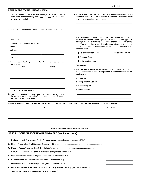#### \_\_\_\_\_\_\_\_\_\_\_\_\_\_\_\_\_\_\_\_\_\_\_\_\_\_\_\_\_\_\_\_\_\_\_\_\_\_\_\_\_\_\_\_\_\_\_\_\_\_\_\_\_\_ \_\_\_\_\_\_\_\_\_\_\_\_\_\_\_\_\_\_\_\_\_\_\_\_\_\_\_\_\_\_\_\_\_\_\_\_\_\_\_\_\_\_\_\_\_\_\_\_\_\_\_\_\_\_ \_\_\_\_\_\_\_\_\_\_\_\_\_\_\_\_\_\_\_\_\_\_\_\_\_\_\_\_\_\_\_\_\_\_\_\_\_\_\_\_\_\_\_\_\_\_\_\_\_\_\_\_\_\_ \_\_\_\_\_\_\_\_\_\_\_\_\_\_\_\_\_\_\_\_\_\_\_\_\_\_\_\_\_\_\_\_\_\_\_\_\_\_\_\_\_\_\_\_\_\_\_\_\_\_\_\_\_\_ \_\_\_\_\_\_\_\_\_\_\_\_\_\_\_\_\_\_\_\_\_\_\_\_\_\_\_\_\_\_\_\_\_\_\_\_\_\_\_\_\_\_\_\_\_ \_\_\_\_\_\_\_\_\_\_\_\_\_\_\_\_\_\_\_\_\_\_\_\_\_\_\_\_\_\_\_\_\_\_\_\_\_\_\_\_\_\_\_\_\_\_ \_\_\_\_\_\_\_\_\_\_\_\_\_\_\_\_\_\_\_\_\_\_\_\_\_\_\_\_\_\_\_\_\_\_\_\_\_\_\_\_\_\_\_\_\_\_\_\_\_ \_\_\_\_\_\_\_\_\_\_\_\_\_\_\_\_\_\_\_\_\_\_\_\_\_\_\_\_\_\_\_\_\_\_\_\_\_\_\_\_\_\_\_\_\_\_\_ \_\_\_\_\_\_\_\_\_\_\_\_\_\_\_\_\_\_\_\_\_\_\_\_\_\_\_\_\_\_\_\_\_\_\_\_\_\_\_\_\_\_\_\_\_\_\_\_\_\_\_\_\_\_ the period covered by this return? \_\_\_\_ Yes \_\_\_\_ No If "yes", **PART I - ADDITIONAL INFORMATION** 1. Did the corporation file a **Kansas** Privilege Tax return under the same name for the preceding year? \_\_\_ Yes \_\_\_ No If "no", enter previous name and EIN. 2. Enter the address of the corporation's principal location in Kansas. Telephone 3. The corporation's books are in care of: Name Address \_\_ Telephone 4. List each estimated tax payment and credit forward amount claimed on this return. Date **Amount** TOTAL (Enter on line 28 of K-130) 5. Has your corporation been involved in any reorganization during enclose a detailed explanation. 6. If this is a final return for Kansas, please state the reason. If the corporation was liquidated or dissolved, state the IRC section under which the corporation was liquidated. 7. If your federal taxable income has been redetermined for any prior years that have not previously been reported to Kansas, check the applicable box(es) below and state the calendar, fiscal, or short period year ending date. You are required to submit, **under separate cover**, the federal Forms 1139, 1120X, or Revenue Agent's Report along with the Kansas amended return. Revenue Agent's Report **Constant** Other State's Adjustment Amended Return Net Operating Loss Years ended 8. If you are registered with the Kansas Department of Revenue under any other Kansas tax act, enter all registration or license numbers on the applicable line. a. Sales Tax b. Compensating Use Tax \_\_\_\_\_\_\_\_\_\_\_\_\_\_\_\_\_\_\_\_\_\_\_\_\_\_\_\_\_\_\_\_\_ c. Withholding Tax d. Other (specify) **PART II - AFFILIATED FINANCIAL INSTITUTIONS OR CORPORATIONS DOING BUSINESS IN KANSAS** Name of Corporation **Employer ID Number** \_\_\_\_\_\_\_\_\_\_\_\_\_\_\_\_\_\_\_\_\_\_\_\_\_\_\_\_\_\_\_\_\_\_\_\_\_\_\_\_\_\_\_\_\_\_\_\_\_\_\_\_\_\_\_\_\_ \_\_\_\_\_\_\_\_\_\_\_\_\_\_\_\_\_\_\_\_\_\_\_\_\_\_\_\_\_\_\_\_\_\_\_\_\_\_\_\_\_\_\_\_\_\_\_\_\_\_\_\_\_\_\_\_\_ \_\_\_\_\_\_\_\_\_\_\_\_\_\_\_\_\_\_\_\_\_\_\_\_\_\_\_\_\_\_\_\_\_\_\_\_\_\_\_\_\_\_\_\_\_\_\_\_\_\_\_\_\_\_\_\_\_ \_\_\_\_\_\_\_\_\_\_\_\_\_\_\_\_\_\_\_\_\_\_\_\_\_\_\_\_\_\_\_\_\_\_\_\_\_\_\_\_\_\_\_\_\_\_\_\_\_\_\_\_\_\_\_\_\_ \_\_\_\_\_\_\_\_\_\_\_\_\_\_\_\_\_\_\_\_\_\_\_\_\_\_\_\_\_\_\_\_\_\_\_\_\_\_\_\_\_\_\_\_ \_\_\_\_\_\_\_\_\_\_\_\_\_\_\_\_\_\_\_\_\_\_\_\_\_\_\_\_\_\_\_\_\_\_\_\_\_\_\_ \_\_\_\_\_\_\_\_\_\_\_\_\_\_\_\_\_\_\_\_\_\_\_\_\_\_\_\_\_\_\_\_\_\_\_\_\_\_\_\_ \_\_\_\_\_\_\_\_\_\_\_\_\_\_\_\_\_\_\_\_\_\_\_\_\_\_\_\_\_\_\_\_\_\_\_\_\_\_\_\_\_\_\_\_\_\_\_\_\_\_\_\_\_\_ \_\_\_\_\_\_\_\_\_\_\_\_\_\_\_\_\_\_\_\_\_\_\_\_\_\_\_\_\_\_\_\_\_\_\_\_\_\_\_\_\_\_\_\_\_\_\_\_\_\_\_\_\_\_

(Enclose a separate sheet for additional corporations)

#### **PART Ill - SCHEDULE OF NONREFUNDABLE (see instructions)**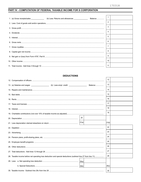#### PART IV - COMPUTATION OF FEDERAL TAXABLE INCOME FOR S CORPORATION

|  | 3  |  |
|--|----|--|
|  | 4  |  |
|  |    |  |
|  | 6  |  |
|  |    |  |
|  | 8  |  |
|  | 9  |  |
|  | 10 |  |
|  | 11 |  |

#### **DEDUCTIONS**

|                                                                                                               | 12    |  |
|---------------------------------------------------------------------------------------------------------------|-------|--|
|                                                                                                               |       |  |
|                                                                                                               | 13    |  |
|                                                                                                               | 14    |  |
|                                                                                                               | 15    |  |
|                                                                                                               | 16    |  |
|                                                                                                               | 17    |  |
|                                                                                                               | 18    |  |
|                                                                                                               | 19    |  |
| 20                                                                                                            |       |  |
| 21(a)                                                                                                         | 21(b) |  |
|                                                                                                               | 22    |  |
|                                                                                                               | 23    |  |
|                                                                                                               | 24    |  |
|                                                                                                               | 25    |  |
|                                                                                                               | 26    |  |
|                                                                                                               | 27    |  |
| 28. Taxable income before net operating loss deduction and special deductions (subtract line 27 from line 11) | 28    |  |
|                                                                                                               |       |  |
|                                                                                                               | 29(c) |  |
|                                                                                                               | 30    |  |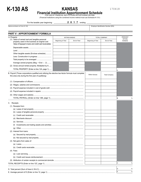

# **KANSAS**

170418

**Financial Institution Apportionment Schedule**<br>FOR USE BY FINANCIAL INSTITUTIONS APPORTIONING INCOME

(Financial Institutions using the combined income method must use Schedule K-131)

For the taxable year beginning \_

2 0 1 7 ; ending

Name as shown on Form K-130 **Employer Identification Number (EIN)** Employer Identification Number (EIN)

| PART V - APPORTIONMENT FORMULA                                                                                                                              |                      |             |                      |                      |                                |
|-------------------------------------------------------------------------------------------------------------------------------------------------------------|----------------------|-------------|----------------------|----------------------|--------------------------------|
| A. Property                                                                                                                                                 | <b>WITHIN KANSAS</b> |             | <b>TOTAL COMPANY</b> | <b>PERCENT</b>       |                                |
| (1) Value of owned real and tangible personal<br>property used in the business at original cost                                                             | Beginning of Year    | End of Year | Beginning of Year    | End of Year          | <b>WITHIN</b><br><b>KANSAS</b> |
| Value of taxpayer's loans and credit card receivables                                                                                                       |                      |             |                      |                      |                                |
|                                                                                                                                                             |                      |             |                      |                      |                                |
|                                                                                                                                                             |                      |             |                      |                      |                                |
| Other tangible assets (Enclose schedule)                                                                                                                    |                      |             |                      |                      |                                |
|                                                                                                                                                             |                      |             |                      |                      |                                |
|                                                                                                                                                             |                      |             |                      |                      |                                |
| Average owned property (Beg. + End $\div$ 2)                                                                                                                |                      |             |                      |                      |                                |
| (2) Gross annual rented property. Multiplied by 8                                                                                                           |                      |             |                      |                      |                                |
| TOTAL PROPERTY (Enter on line 12A, page 1)                                                                                                                  |                      |             |                      |                      | А                              |
| B. Payroll (Those corporations qualified and utilizing the elective two-factor formula must complete<br>this area only during the first year of qualifying) |                      |             | Within Kansas        | <b>Total Company</b> |                                |
|                                                                                                                                                             |                      |             |                      |                      |                                |
|                                                                                                                                                             |                      |             |                      |                      |                                |
|                                                                                                                                                             |                      |             |                      |                      |                                |
|                                                                                                                                                             |                      |             |                      |                      |                                |
| (5)                                                                                                                                                         |                      |             |                      |                      |                                |
|                                                                                                                                                             |                      |             |                      |                      | lΒ<br>%                        |
| C. Receipts                                                                                                                                                 |                      |             |                      |                      |                                |
| (1) Receipts from:                                                                                                                                          |                      |             |                      |                      |                                |
|                                                                                                                                                             |                      |             |                      |                      |                                |
|                                                                                                                                                             |                      |             |                      |                      |                                |
|                                                                                                                                                             |                      |             |                      |                      |                                |
|                                                                                                                                                             |                      |             |                      |                      |                                |
| (e)                                                                                                                                                         |                      |             |                      |                      |                                |
|                                                                                                                                                             |                      |             |                      |                      |                                |
| (g)                                                                                                                                                         |                      |             |                      |                      |                                |
| (2) Interest from loans:                                                                                                                                    |                      |             |                      |                      |                                |
| (a) Secured by real property                                                                                                                                |                      |             |                      |                      |                                |
|                                                                                                                                                             |                      |             |                      |                      |                                |
| (3) Net gains from sales of:                                                                                                                                |                      |             |                      |                      |                                |
|                                                                                                                                                             |                      |             |                      |                      |                                |
|                                                                                                                                                             |                      |             |                      |                      |                                |
| $(4)$ Fees:                                                                                                                                                 |                      |             |                      |                      |                                |
|                                                                                                                                                             |                      |             |                      |                      |                                |
|                                                                                                                                                             |                      |             |                      |                      |                                |
|                                                                                                                                                             |                      |             |                      |                      |                                |
|                                                                                                                                                             |                      |             |                      |                      | lC.<br>%                       |
|                                                                                                                                                             |                      |             |                      |                      | D<br>%                         |
|                                                                                                                                                             |                      |             |                      |                      | Ε<br>%                         |
|                                                                                                                                                             |                      |             |                      |                      |                                |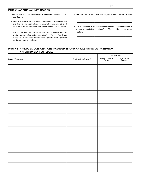#### **PART VI - ADDITIONAL INFORMATION**

- 1. If you claim that part of your net income is assignable to business conducted outside Kansas:
	- a. Enclose a list of all states in which this corporation is doing business and filing state net income, franchise tax, privilege tax, corporate stock tax, bank shares tax, single business tax or earned surplus tax returns.
	- b. Has any state determined that this corporation conducts or has conducted a unitary business with any other corporation? \_\_\_Yes \_\_\_No. If yes, specify which state or states and enclose a complete list of the corporations conducting the unitary business.
- 2. Describe briefly the nature and location(s) of your Kansas business activities. \_\_\_\_\_\_\_\_\_\_\_\_\_\_\_\_\_\_\_\_\_\_\_\_\_\_\_\_\_\_\_\_\_\_\_\_\_\_\_\_\_\_\_\_\_\_\_\_\_\_\_\_\_
- 3. Are the amounts in the total company column the same reported in returns or reports to other states? \_\_\_Yes \_\_\_ No If no, please explain.

\_\_\_\_\_\_\_\_\_\_\_\_\_\_\_\_\_\_\_\_\_\_\_\_\_\_\_\_\_\_\_\_\_\_\_\_\_\_\_\_\_\_\_\_\_\_\_\_\_\_\_\_\_ \_\_\_\_\_\_\_\_\_\_\_\_\_\_\_\_\_\_\_\_\_\_\_\_\_\_\_\_\_\_\_\_\_\_\_\_\_\_\_\_\_\_\_\_\_\_\_\_\_\_\_\_\_ \_\_\_\_\_\_\_\_\_\_\_\_\_\_\_\_\_\_\_\_\_\_\_\_\_\_\_\_\_\_\_\_\_\_\_\_\_\_\_\_\_\_\_\_\_\_\_\_\_\_\_\_\_

T

\_\_\_\_\_\_\_\_\_\_\_\_\_\_\_\_\_\_\_\_\_\_\_\_\_\_\_\_\_\_\_\_\_\_\_\_\_\_\_\_\_\_\_\_\_\_\_\_\_\_\_\_\_

#### **PART VII - AFFILIATED CORPORATIONS INCLUDED IN FORM K-130AS FINANCIAL INSTITUTION APPORTIONMENT SCHEDULE**

T

|                     |                           | Check if included:          |                          |  |  |
|---------------------|---------------------------|-----------------------------|--------------------------|--|--|
| Name of Corporation | Employer Identification # | In Total Company<br>Factors | Within Kansas<br>Factors |  |  |
|                     |                           |                             |                          |  |  |
|                     |                           |                             |                          |  |  |
|                     |                           |                             |                          |  |  |
|                     |                           |                             |                          |  |  |
|                     |                           |                             |                          |  |  |
|                     |                           |                             |                          |  |  |
|                     |                           |                             |                          |  |  |
|                     |                           |                             |                          |  |  |
|                     |                           |                             |                          |  |  |
|                     |                           |                             |                          |  |  |
|                     |                           |                             |                          |  |  |
|                     |                           |                             |                          |  |  |
|                     |                           |                             |                          |  |  |
|                     |                           |                             |                          |  |  |
|                     |                           |                             |                          |  |  |
|                     |                           |                             |                          |  |  |
|                     |                           |                             |                          |  |  |
|                     |                           |                             |                          |  |  |
|                     |                           |                             |                          |  |  |
|                     |                           |                             |                          |  |  |
|                     |                           |                             |                          |  |  |
|                     |                           |                             |                          |  |  |
|                     |                           |                             |                          |  |  |
|                     |                           |                             |                          |  |  |
|                     |                           |                             |                          |  |  |
|                     |                           |                             |                          |  |  |
|                     |                           |                             |                          |  |  |
|                     |                           |                             |                          |  |  |
|                     |                           |                             |                          |  |  |
|                     |                           |                             |                          |  |  |
|                     |                           |                             |                          |  |  |
|                     |                           |                             |                          |  |  |
|                     |                           |                             |                          |  |  |
|                     |                           |                             |                          |  |  |
|                     |                           |                             |                          |  |  |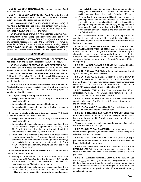**LINE 13—AMOUNT TO KANSAS**. Multiply line 11 by line 12 and enter the result on line 13.

**LINE 14—NONBUSINESS INCOME—KANSAS**. Enter the total amount of nonbusiness net income directly allocated to Kansas. Submit a schedule to support the amount shown.

**LINE 15—KANSAS EXPENSING RECAPTURE (K-120EX)**. If you have a Kansas expensing recapture amount from Schedule K-120EX, enter the amount on line 15 and enclose a copy of your completed K-120EX and federal Form 4562.

**LINE 16—KANSAS EXPENSING DEDUCTION (K-120EX)**. Enter the amount of your Kansas expensing deduction and enclose a copy of your completed K-120EX and federal Form(s) 4562. Also enclose any schedule necessary to enable the Department of Revenue to reconcile the federal Form 4562 amounts to the expensing claimed on the K-120EX. **Important**—The deduction must qualify under IRC Section 168: Modified accelerated cost recovery system (MACRS).

#### **NET INCOME**

**LINE 17—KANSAS NET INCOME BEFORE NOL DEDUCTION**. Add lines 13, 14 and 15, then subtract line 16. Enter the result.

**LINE 18—KANSAS NET OPERATING LOSS DEDUCTION**. Enter the amount of your Kansas net operating loss carry forward. This amount cannot exceed the amount on line 17. (Schedule required.)

**LINE 19—KANSAS NET INCOME BEFORE BAD DEBTS**. Subtract line 18 from line 17 and enter the result. This amount is to be used by savings and loan associations to compute their Kansas bad debt deduction.

**LINE 20—SAVINGS AND LOAN BAD DEBT DEDUCTION FOR KANSAS**. Savings and loan associations are allowed, as a deduction from net income, a reserve established for the sole purpose of meeting or absorbing losses.

If all of your activity is **wholly within Kansas**:

- a. Multiply the amount shown on line 19 by 5% and enter the result on line 20; or,
- b. Enter on line 20 the actual amount of bad debt; or,
- c. Enter on line 20 a reasonable addition to the Kansas reserve based on past experience.

If you use the **single entity apportionment method** (K-130AS) to determine income from Kansas sources:

- a. Multiply the amount shown on line 19 by 5% and enter the result on line 20; or,
- b. Enter on line 20 the actual amount of Kansas bad debt. If you use this method, multiply the apportionment percentage (line 12, Form K-130) times the total corporation actual bad debt and enter the result on line 20, Form K-130; or,
- c. Enter on line 20 a reasonable addition to the Kansas reserve based on past experience. If you use this method you must determine the addition to reserve based upon total company; then multiply the apportionment percentage (line 12, Form K-130) times the total company amount and enter the result on line 20, Form K-130.

If you use the **combined income method** (K-131) to determine income from Kansas sources:

- a. Multiply each individual corporation's *Kansas net income before bad debt deduction* (line 19, Schedule K-131) by 5% and enter each corporation's result on line 21, Schedule K-131 (Combined Income Method of Reporting); or,
- b. Enter on line 20 the actual amount of Kansas bad debt. If you use this method you must determine the actual bad debt of all entities included in the combined group prior to apportionment;

then multiply the apportionment percentage for each combined entity (line 12, Schedule K-131) times the total bad debt of all entities and enter the result on line 21, Schedule K-131; or,

c. Enter on line 21 a reasonable addition to reserve based on past experience. If you use this method you must determine the addition to reserve of all entities included in the combined group prior to apportionment; then multiply the apportionment percentage for each combined entity (line 12, Schedule K-131) times the total addition to reserve and enter the result on line 20, Schedule K-131.

Financial institutions are reminded that if they are required to file a combined income method return in Kansas, all financial institutions in the group are required to use the same method to determine Kansas bad debt deductions.

**LINE 21—COMBINED REPORT OR ALTERNATIVE/ SEPARATE ACCOUNTING INCOME**. If you are filing a combined report (Schedule K-131) or you are authorized to file using the alternative or separate accounting method, enter on line 21 the Kansas taxable income from: 1) line 21 of Schedule K-131; **or** 2) a separate schedule prepared by you (Separate/Alternative Method of Reporting).

**LINE 22—KANSAS TAXABLE INCOME**. Enter on line 22 either the result of line 19 minus line 20 or the amount on line 21.

**LINE 23—NORMAL TAX**. Multiply the amount shown on line 22 by 2.25% (.0225) and enter the result.

**LINE 24—SURTAX**. **A. BAnks**—Multiply the amount shown on line 22 in excess of \$25,000 by 2.125% (.02125). Enter result on line 24A. **B. sAvings And loAns, trust compAnies And federAlly chArtered sAvings BAnks**—Multiply the amount shown on line 22 in excess of \$25,000 by 2.25% (.0225). Enter result on line 24B.

**LINE 25—TOTAL TAX**. Add line 23 and line 24A or line 24B and enter result. If Schedule K-131 was used to determine income, enter the tax computed on Schedule K-131, line 24.

**LINE 26—TOTAL NONREFUNDABLE CREDITS**. Enter the total nonrefundable credits from Part III, line 9. This amount cannot exceed the amount on line 25.

**LINE 27—BALANCE**. Subtract line 26 from line 25 and enter the result. This amount cannot be less than zero.

**LINE 28—ESTIMATED TAX PAID AND AMOUNT CREDITED FORWARD**. Enter the total of your 2018 privilege year estimated tax payments plus any 2017 privilege year overpayment you had credited forward to 2018.

You could be liable for penalty due to underpayment of estimated tax. See *Estimated Tax* on page 2.

**LINE 29—OTHER TAX PAYMENTS**. If your company has any other withholding amounts, enter them on line 29. Enclose separate schedule to support your entry.

**LINE 30—CHILD DAY CARE ASSISTANCE CREDIT (K-56)**. If you have a day care assistance credit, enter it on line 30 and enclose Schedule K-56 with your return.

**LINE 31—COMMUNITY SERVICE CONTRIBUTION CREDIT REFUND (K-60)**. Enter the amount of community service contribution credit that was not used on line 26 and enclose Schedule K-60 with your return.

**LINE 32—PAYMENT REMITTED ON ORIGINAL RETURN**. Use this line only if you are filing an amended privilege tax return for the 2018 privilege tax year. Enter the amount of money you remitted to the Department of Revenue with your original 2018 return or any payment remitted with a previously filed 2018 amended, including penalty and interest.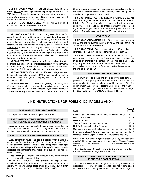**LINE 33—OVERPAYMENT FROM ORIGINAL RETURN**. Use this line only if you are filing an amended privilege tax return for the 2018 tax year. Enter the amount of overpayment shown on your original return. Since you were refunded this amount or it was credited forward, this amount is a subtraction entry.

**LINE 34—TOTAL PREPAID CREDITS**. Add lines 28 through 32 and subtract line 33. Enter result on line 34.

#### **BALANCE DUE**

**LINE 35—BALANCE DUE**. If line 27 is greater than line 34, subtract line 34 from line 27 and enter the result. **Late Charges**: If amount on this line is not paid by the due date, or if a balance due return is filed after the due date, penalty and interest will be added according to the rules outlined in lines 36 and 37. **Extension of Time to File**: Interest is due on any delinguent tax balance, even if you have been granted an extension of time to file the return. If 90% of your tax liability is paid on or before the original due date of your return, an automatic extension is applied and no penalty is assessed if paid by the extension due date.

**LINE 36—INTEREST**. If you paid your Kansas privilege tax after the original due date, compute interest at the rate of .417% per month or 5% per annum (or portion thereof) on the balance due and enter result on line 36. Interest is to be computed in whole months.

**LINE 37—PENALTY**. If you paid your Kansas privilege tax after the due date, compute the penalty at 1% for each month (or fraction thereof) the return is late, or tax is unpaid, on the balance due; to a maximum of 24%.

**LINE 38—ESTIMATED TAX PENALTY (K-230)**. If underpayment of estimated tax penalty is due, enter the penalty amount on line 38 and enclose Schedule K-230 with the return. If you are annualizing to compute the penalty, and meet an exception, check the box on line

38. Any financial institution which began a business in Kansas during this period is not required to file a declaration, and no underpayment of estimate tax penalty will be imposed.

**LINE 39—TOTAL TAX, INTEREST, AND PENALTY DUE**. Add lines 35 through 38 and enter the result. Complete Form K-130V, Privilege Tax Payment Voucher, and enclose it with your return and payment (do not use staples or tape to attach your documents together). Make your check or money order payable to *Kansas Privilege Tax*. A balance due less than \$5 need not be paid.

#### **OVERPAYMENT**

**LINE 40—OVERPAYMENT**. If line 34 is greater than the sum of line 27 and line 38, subtract the sum of line 27 and line 38 from line 34 and enter the result on line 40.

**LINE 41—REFUND**. Enter the amount of line 40 you wish to be refunded. No refund will be made for amounts less than \$5.

**LINE 42—CREDIT FORWARD**. Enter the portion of line 40 you wish to have applied to your 2019 Kansas estimated privilege tax (must be \$1 or more). If the amount on line 40 is less than \$5, you may carry it forward to 2019 as an additional credit even if you don't make estimated tax payments. The amount on this line cannot exceed the total of line 28 and 29.

#### **SIGNATURE AND VERIFICATION**

The return must be signed and sworn to by the president, vicepresident, or other principal officer. If the return is prepared by a firm or corporation, the return should be signed in the name of the firm or corporation. Any person or persons who prepares the return for compensation must sign the return and provide their EIN (Employer Identification Number) or SSN (Social Security Number).

### **LINE INSTRUCTIONS FOR FORM K-130, PAGES 3 AND 4**

#### **PART I—ADDITIONAL INFORMATION**

All corporations must answer all questions in Part I.

#### **PART II—AFFILIATED FINANCIAL INSTITUTIONS OR CORPORATIONS DOING BUSINESS IN KANSAS**

Every corporation must complete the information required in this section for every affiliated corporation doing business in Kansas. If additional space is needed, enclose a separate schedule.

#### **PART III—SCHEDULE OF NONREFUNDABLE CREDITS**

Every corporation must complete this section when claiming a Kansas *nonrefundable* tax credit. If you are eligible to claim any of the credits listed in this section, **complete the appropriate schedule(s) and enclose them with your Kansas Privilege Tax return**. Credit schedules and instructions are available from our office or website (see back cover).

**Lines 1 through 7**: Enter on lines 1 through 7 any *nonrefundable*  tax credits for which you are eligible.

If you have a Community Service Contribution Credit (K-60) **with no refund**, enter the credit amount in this nonrefundable credit section. If you have a **refundable credit** on Schedule K-60, enter the credit amount on line 31 on the back of Form K-130.

| Credit                                                            | <b>Schedule</b> |
|-------------------------------------------------------------------|-----------------|
| Business and Job Development (carry forward use only)  K-34       |                 |
|                                                                   |                 |
|                                                                   |                 |
|                                                                   |                 |
|                                                                   |                 |
|                                                                   |                 |
|                                                                   |                 |
| Declared Disaster Capital Investment (carry forward use only)K-87 |                 |

**Required**

*IMPORTANT—If you are claiming the refundable Child Day Care Assistance Credit (K-56), do not report any part of the credit in this nonrefundable credit section; instead enter the total amount of your credit on line 30, back of Form K-130.*

**Line 8**: Add lines 1 through 7 and enter the total on line 8. Enter this amount on line 26, page 2 of Form K-130.

#### **PART IV—COMPUTATION OF FEDERAL TAXABLE INCOME FOR S CORPORATIONS**

Complete the lines in Part IV if you are reporting income as a S corporation for federal purposes. Kansas begins with federal taxable income rather than ordinary income for computation of privilege tax.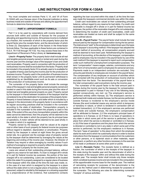You must complete and enclose Parts V, VI, and VII of Form K-130AS with your Kansas return if the financial institution is doing business inside and outside of Kansas and utilizing the apportionment formula to determine Kansas income.

#### **PART V—APPORTIONMENT FORMULA**

Part V is to be used by corporations with income derived from sources both within and outside of Kansas for the purpose of allocating and apportioning income. All business income is multiplied by a fraction, the numerator of which is the property factor plus the payroll factor plus the receipts factor, and the denominator of which is three (3). Descriptions of each of the factors in the three-factor formula follow. The laws applicable to these factors are contained in K.S.A. 79-1130 through 79-1132. You may access these laws in the Department of Revenue's Policy Library at: **ksrevenue.org**

**Line A—Property Factor**: The property factor shall include all real and tangible personal property owned or rented and used during the income year and the average value of the taxpayer's loan and credit card receivables. Property used in connection with the production of nonbusiness income shall be excluded from the factor. Property shall be included in the property factor if it is actually used or is available for or capable of being used during the income year for the production of business income. Property used in the production of business income shall remain in the property factor until its permanent withdrawal is established by an identifiable event such as its sale or conversion to the production of nonbusiness income.

The numerator of the property factor shall include the average value of the taxpayer's real and tangible personal property owned and located or used in this state during the income year plus the value of rented real and tangible personal property so used. Property owned by the taxpayer in transit between locations of the taxpayer shall be considered to be at the destination for purposes of the property factor. Property in transit between a buyer and seller which is included by a taxpayer in the denominator of its property factor in accordance with its regular accounting practices shall be included in the numerator according to the state of destination. Transportation property is included in the numerator to the extent the property is used in this state. If the extent of the use of any transportation property within this state cannot be determined, then the property will be deemed to be used wholly in the state in which the property has its principal base of operations. A motor vehicle will be deemed to be used wholly in the state in which it is registered.

Property owned by the taxpayer shall be valued at its original cost or other basis of such property for federal income tax purposes without regard to depletion, depreciation or amortization. Property rented by the taxpayer is valued at eight times the gross annual rental rate. As a general rule the average value of property owned by the taxpayer shall be determined by averaging the values at the beginning and ending of the income year. However, the Director of Taxation may require or allow averaging by monthly values if such method of averaging is required to properly reflect the average value of the taxpayer's property for the income year.

Loans are valued at their outstanding principal balance, without regard to any reserve for bad debts. If a loan is charged off in whole or in part for federal income tax purposes, the portion of the loan charged off is not outstanding. Loans are considered to be located within this state if it is properly assigned to a regular place of business of the taxpayer within this state at the time the loan was made; or, in the case of a loan which is assigned by the taxpayer to a place without this state which is not a regular place of business, it shall be presumed, subject to rebuttal by the taxpayer on a showing supported by a preponderance of the evidence, that substantive contacts

regarding the loan occurred within this state if, at the time the loan was made the taxpayers commercial domicile was within this state.

Credit card receivables are valued at their outstanding principal balance, without regard to any reserve for bad debts. If a credit card receivable is charged off in whole or in part for federal income tax purposes, the portion of the receivable charged off is not outstanding. In determining the location of credit card receivables, credit card receivables are treated as loans and shall be subject to the same rules outlined above.

**Line B—Payroll Factor**: The payroll factor shall include the total amount paid by the taxpayer for compensation during the tax period. The total amount "paid" to the employees is determined upon the basis of the taxpayer's accounting method. If the taxpayer has adopted the accrual method of accounting, all compensation properly accrued shall be deemed to have been paid. Notwithstanding the taxpayer's method of accounting, at the election of the taxpayer, compensation paid to employees may be included in the payroll factor by use of the cash method if the taxpayer is required to report such compensation under such method for unemployment compensation purposes. The term "compensation" means wages, salaries, commissions and any other form of remuneration paid to employees for personal services. Payments made to an independent contractor are excluded. Only amounts paid directly to employees are included in the payroll factor. The compensation of any employee on account of activities which are connected with the production of nonbusiness income shall be excluded from the factor. The denominator of the payroll factor is the total compensation paid everywhere during the income year.

The numerator of the payroll factor is the total amount paid in Kansas during the income year by the taxpayer for compensation. Compensation is paid in Kansas if any one of the following tests, applied consecutively, are met: (a) The employee's service is performed entirely within Kansas; (b) The employee's service is performed both inside and outside Kansas, but the service performed outside Kansas is incidental to the employee's service inside Kansas (the word incidental means any service which is temporary or transitory in nature, or which is rendered in connection with an isolated transaction); (c) If the employee's services are performed both inside and outside Kansas, the employee's compensation will be attributed to Kansas: (i) if the employee's principal base of operations is in Kansas; or (ii) if there is no base of operations in any state in which some part of the service is performed, but the place from which the service is directed or controlled is in Kansas; or (iii) if the base of operations and the place from which the service is directed or controlled is not in any state in which some part of the service is performed, but the employee's residence is in Kansas. The term "base of operation" is the place from which the employee starts his work and to which he customarily returns in order to receive instructions from the taxpayer or communications from his customers or other persons, or to replenish stock or other materials, repair equipment, or perform any other functions necessary to the exercise of his trade or profession at some other point or points.

**Line C—Receipts Factor**: The receipts factor is defined as a fraction, the numerator of which is the receipts of the taxpayer in this state during the taxable year and the denominator of which is the receipts of the taxpayer within and without this state during the taxable year. The receipts factor shall include only those receipts which constitute business income and are included in the computation of the apportionable income base for the taxable year. The method of calculating receipts for purposes of the denominator is the same as the method used in determining receipts for purposes of the numerator. The following are rules for determining numerator "receipts" of various activities: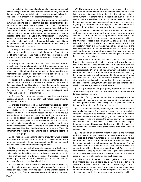(1) Receipts from the lease of real property—the numerator shall include receipts from the lease or rental of real property owned by the taxpayer if the property is located in Kansas or receipts from the sublease of real property if the property is located in Kansas.

(2) Receipts from the lease of tangible personal property—the numerator shall include receipts from the lease or rental of tangible personal property owned by the taxpayer if the property is located in Kansas when first placed in service by the lessee. Receipts from the lease or rental of transportation property owned by the taxpayer are included in the numerator to the extent that the property is used in this state. If the extent of the use of any transportation property within Kansas cannot be determined, then the property will be deemed to be used wholly in the state in which the property has its principal base of operations. A motor vehicle will be deemed to be used wholly in the state in which it is registered.

(3) Receipts from credit card receivables—the numerator shall include interest and fees or penalties in the nature of interest from credit card receivables and receipts from fees charged to card holders, such as annual fees, if the billing address of the card holder is in Kansas.

(4) Receipts from merchants discount—the numerator includes receipts from the merchants discount if the commercial domicile of the merchant is in Kansas. Such receipts shall be computed net of any card holder charge backs, but shall not be reduced by any interchange transaction fees or by any issuer's reimbursement fees paid to another for charges made by its card holder.

(5) Receipts from services not otherwise apportioned shall be included in the numerator if the service is performed in Kansas. If the service is performed in and out of state, the numerator includes receipts from services not otherwise apportioned under this section, if a greater proportion of the income-producing activity is performed in Kansas based on cost of performance.

(6) Receipts from investment assets and activities and trading assets and activities—the numerator shall include those amounts attributable to Kansas.

(a) Interest, dividends, net gains, but not less than zero, and other income from investment assets and activities and from trading assets and activities shall be included in the receipts factor. Investment assets and activities and trading assets and activities include but are not limited to: Investment securities; trading account assets; federal funds; securities purchased and sold under agreements to resell or repurchase; options; futures contracts; forward contracts; notional principal contracts such as swaps; equities; and foreign currency transactions. With respect to the investment and trading assets and activities described in subparagraphs (A) and (B) of this paragraph, the receipts factor shall include the amounts described in such subparagraphs.

(A) The receipts factor shall include the amount by which interest from federal funds sold and securities purchased under resale agreements exceeds interest expense on federal funds purchased and securities sold under repurchase agreements.

(B) The receipts factor shall include the amount by which interest, dividends, gains and other income from trading assets and activities, including but not limited to assets and activities in the matched book, in the arbitrage book, and foreign currency transactions, exceed amounts paid in lieu of interest, amounts paid in lieu of dividends, and losses from such assets and activities.

(b) The numerator of the receipts factor includes interest, dividends, net gains, but not less than zero, and other income from investment assets and activities and from trading assets and activities described in paragraph (a) of this subsection that are attributable to this state.

(A) The amount of interest, dividends, net gains, but not less than zero, and other income from investment assets and activities in the investment account to be attributed to this state and included in the numerator is determined by multiplying all such income from such assets and activities by a fraction, the numerator of which is the average value of such assets which are properly assigned to a regular place of business of the taxpayer within this state and the denominator of which is the average value of all such assets.

(B) The amount of interest from federal funds sold and purchased and from securities purchased under resale agreements and securities sold under repurchase agreements attributable to this state and included in the numerator is determined by multiplying the amount described in subparagraph (A) of paragraph (a) of this subsection from such funds and such securities by a fraction, the numerator of which is the average value of federal funds sold and securities purchased under agreements to resell which are properly assigned to a regular place of business of the taxpayer within this state and the denominator of which is the average value of all such funds and such securities.

(C) The amount of interest, dividends, gains and other income from trading assets and activities, including but not limited to assets and activities in the matched book, in the arbitrage book and foreign currency transactions, but excluding amounts described in subparagraphs (A) or (B) of this paragraph, attributable to this state and included in the numerator is determined by multiplying the amount described in subparagraph (B) of paragraph (a) of this subsection by a fraction, the numerator of which is the average value of such trading assets which are properly assigned to a regular place of business of the taxpayer within this state and the denominator of which is the average value of all such assets.

(D) For purposes of this paragraph, average value shall be determined using the rules for determining the average value of tangible personal property.

(c) In lieu of using the method set forth in paragraph (b) of this subsection, the secretary of revenue may permit or require in order to fairly represent the business activity of the taxpayer in this state, the use of the method set forth in this paragraph.

(A) The amount of interest, dividends, net gain, but not less than zero, and other income from investment assets and activities in the investment account to be attributed to this state and included in the numerator is determined by multiplying all such income from such assets and activities by a fraction, the numerator of which is the gross income from such assets and activities which are properly assigned to a regular place of business of the taxpayer within this state and the denominator of which is the gross income from all such assets and activities.

(B) The amount of interest from federal funds sold and purchased and from securities purchased under resale agreements and securities sold under repurchase agreements attributable to this state and included in the numerator is determined by multiplying the amount described in subparagraph (A) of paragraph (a) of this subsection from such funds and such securities by a fraction, the numerator of which is the gross income from such funds and such securities which are properly assigned to a regular place of business of the taxpayer within this state and the denominator of which is the gross income from all such funds and such securities.

(C) The amount of interest, dividends, gains and other income from trading assets and activities, including but not limited to assets and activities in the matched book, in the arbitrage book and foreign currency transactions, but excluding amounts described in subparagraphs (A) or (B) of this paragraph, attributable to this state and included in the numerator is determined by multiplying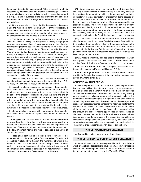the amount described in subparagraph (B) of paragraph (a) of this subsection by a fraction, the numerator of which is the gross income from such trading assets and activities which are properly assigned to a regular place of business of the taxpayer within this state and the denominator of which is the gross income from all such assets and activities.

(d) If the taxpayer elects or is required by the secretary of revenue to use the method set forth in paragraph (c) of this subsection, it shall use this method on all subsequent returns unless the taxpayer receives prior permission from the secretary of revenue to use, or the secretary of revenue requires, a different method.

(e) The taxpayer shall have the burden of proving that an investment asset or activity or trading asset or activity was properly assigned to a regular place of business outside of this state by demonstrating that the day-to-day decisions regarding the asset or activity occurred at a regular place of business outside this state. Where the day-to-day decisions regarding an investment asset or activity or trading asset or activity occur at more than one regular place of business and one such regular place of business is in this state and one such regular place of business is outside this state, such asset or activity shall be considered to be located at the regular place of business of the taxpayer where the investment or trading policies or guidelines with respect to the asset or activity are established. Unless the taxpayer demonstrates to the contrary, such policies and guidelines shall be presumed to be established at the commercial domicile of the taxpayer.

(7) Other receipts, if applicable—the numerator of the receipts factor includes other receipts pursuant to the rules set forth in K.S.A. 79-3286, 79-3287 and 79-3288, and amendments thereto.

(8) Interest from loans secured by real property—the numerator shall include interest and fees or penalties in the nature of interest from loans secured by real property if the property is located within the state. If the property is located both within this state and one or more states, it shall be included in the numerator if more than 50% of the fair market value of the real property is located within the state. If more than 50% of the fair market value of the real property is not located in any one state, the receipts shall be included in the numerator of the receipts factor if the borrower is located in Kansas.

(9) Interest from loans not secured by real property—the numerator shall include interest and fees or penalties in the nature located in Kansas.

(10) Net gains from the sale of loans—the numerator shall include net gains from the sale of loans. Net gains are determined by a fraction, the numerator includes the interest and fees or penalties in the nature of interest from loans in this state and the denominator is the total amount of interest and fees or penalties in the nature of interest from loans.

(11) Net gains from the sale of credit card receivables—the numerator shall include net gains from the sales of credit card receivables multiplied by a fraction, the numerator of which is the amount included in the numerator of the receipts factor of credit card receivables and the denominator of which is the taxpayers total amount of interest and fees or penalties in the nature of interest from credit card receivables and fees charged to card holders.

(12) Loan servicing fees—the numerator shall include loan servicing fees derived from loans secured by real property multiplied by a fraction, the numerator of which is the amount included in the numerator of the receipts factor of interest from loans secured by real property, and the denominator is the total amount of interest and fees or penalties in the nature of interest from loans secured by real property; loan servicing fees from loans not secured by real property are also multiplied by a fraction of interest and fees or penalties for loans not secured by real property. If the taxpayer receives loan servicing fees for servicing secured or unsecured loans, the numerator shall include the fees if the borrower is located in Kansas.

(13) Credit card issuer's reimbursement fees—the numerator shall include all credit card issuer's reimbursement fees multiplied by a fraction, the numerator of which is the amount included in the numerator of the receipts factor of credit card receivables and the denominator is the taxpayer's total amount of interest and fees or penalties in the nature of interest from credit card receivables and fees charged to card holders.

(14) All receipts which would be assigned to another state in which the taxpayer is not taxable shall be included in the numerator of the receipts factor, if the taxpayer's commercial domicile is in Kansas.

**Line D—Total Percent**: If you are utilizing the three-factor formula to apportion income to Kansas, add lines A, B, & C.

**Line E—Average Percent**: Divide line D by the number of factors used in the formula. For instance, if the corporation does not have payroll anywhere, divide by 2.

#### CONSISTENCY IN REPORTING

In completing Forms K-130 and K-130AS, if, with respect to prior tax years and to filing other states' tax returns, the taxpayer departs from or modifies the manner in which income has been classified as business income from nonbusiness income, in valuing property or of excluding or including property in the property factor, in the treatment of compensation paid in the payroll factor, or in excluding or including gross receipts in the receipt factor, the taxpayer shall disclose by separate attached schedule the nature and extent of the variance or modification. Only inconsistencies in the denominators of the property, payroll, and receipts factors which materially affect the amount of business income apportioned to Kansas need be disclosed. Inconsistencies in the determination of nonbusiness income and in the denominators of the factors due to a difference in state laws or regulations must be identified by that state's statute or regulation section number and shown on the separate schedule. The amount of each inconsistency by state is to be shown.

#### **PART VI—ADDITIONAL INFORMATION**

All financial institutions must answer all questions.

#### **PART VII—AFFILIATED CORPORATION INFORMATION**

All financial institutions must complete this section and indicate which of the affiliated corporations have property or payroll or receipts in either the "total company" factors or the "within Kansas" factors of the apportionment formula on page 1 of Form K-130AS.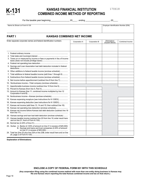

# **KANSAS FINANCIAL INSTITUTION K-131 COMBINED INCOME METHOD OF REPORTING**

170618

, For the taxable year beginning \_\_\_\_\_\_\_\_\_\_\_\_\_\_\_\_ 20\_\_\_\_ , ending \_\_\_\_\_\_\_\_\_\_\_\_\_\_\_\_\_\_\_\_\_ 20\_\_\_\_

| Name As Shown on Form K-130                                                                                                           |               |               | Employer Identification Number (EIN) |                 |
|---------------------------------------------------------------------------------------------------------------------------------------|---------------|---------------|--------------------------------------|-----------------|
| <b>PART I</b><br><b>KANSAS COMBINED NET INCOME</b>                                                                                    |               |               |                                      |                 |
| Enter separate corporate names and federal identification numbers                                                                     | Corporation A | Corporation B | Eliminations<br>(Explain Below)      | Combined Income |
|                                                                                                                                       |               |               |                                      |                 |
|                                                                                                                                       |               |               |                                      |                 |
|                                                                                                                                       |               |               |                                      |                 |
| 3. Taxes on or measured by income or fees or payments in lieu of income                                                               |               |               |                                      |                 |
|                                                                                                                                       |               |               |                                      |                 |
| 5. Savings and Loan Association bad debt deduction included in federal                                                                |               |               |                                      |                 |
| 6. Other additions to federal taxable income (enclose schedule)                                                                       |               |               |                                      |                 |
| 7. Total additions to federal taxable income (add lines 1 through 6)                                                                  |               |               |                                      |                 |
| 8. Subtractions from federal taxable income (enclose schedule)                                                                        |               |               |                                      |                 |
| 9. Net income before apportionment (subtract line 8 from line 7)                                                                      |               |               |                                      |                 |
| 10. Nonbusiness income-Total company (enclose schedule)                                                                               |               |               |                                      |                 |
| 11. Apportionable business income (subtract line 10 from line 9)                                                                      |               |               |                                      |                 |
|                                                                                                                                       |               |               |                                      |                 |
| 13. Amount to Kansas (line 11, combined income multiplied by line 12                                                                  |               |               |                                      |                 |
| 14. Nonbusiness income-Kansas (enclose schedule)                                                                                      |               |               |                                      |                 |
| 15. Kansas expensing recapture (see instructions for K-120EX)                                                                         |               |               |                                      |                 |
| 16. Kansas expensing deduction (see instructions for K-120EX)                                                                         |               |               |                                      |                 |
| 17. Kansas net income (add lines 13, 14 and 15; then subtract line 16)                                                                |               |               |                                      |                 |
| 18. Kansas net operating loss deduction (enclose schedule)                                                                            |               |               |                                      |                 |
| 19. Kansas net income before Kansas bad debt deduction (subtract line 18                                                              |               |               |                                      |                 |
| 20. Kansas savings and loan bad debt deduction (enclose schedule)                                                                     |               |               |                                      |                 |
| 21. Kansas taxable income (subtract line 20 from line 19; enter result here                                                           |               |               |                                      |                 |
|                                                                                                                                       |               |               |                                      |                 |
| 23. Surtax: A. Banks (2.125% of amount on line 21 in excess of \$25,000)<br>B. Savings and loans and trust companies (2.25% of amount |               |               |                                      |                 |
| 24. Total tax (line 22 plus line 23A or line 23B; enter result here and on line                                                       |               |               |                                      |                 |

**Explanation of Eliminations:**

#### **ENCLOSE A COPY OF FEDERAL FORM 851 WITH THIS SCHEDULE**

**(Any corporation filing using the combined income method with more than one entity doing business in Kansas may file one Kansas return reporting the total Kansas combined income and tax on that return.)**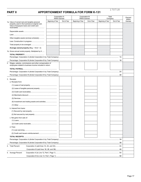# **PART II APPORTIONMENT FORMULA FOR FORM K-131**

|                                                                                                                       |                   | Corporation A<br><b>Within Kansas</b> |                   | Corporation B<br><b>Within Kansas</b> |                   | Total<br>Company |                  |
|-----------------------------------------------------------------------------------------------------------------------|-------------------|---------------------------------------|-------------------|---------------------------------------|-------------------|------------------|------------------|
| 1a. Value of owned real and tangible personal                                                                         | Beginning of Year | End of Year                           | Beginning of Year | End of Year                           | Beginning of Year | End of Year      | Within<br>Kansas |
| property used in the business at original cost.<br>Value of taxpayers loans and credit card                           |                   |                                       |                   |                                       |                   |                  |                  |
|                                                                                                                       |                   |                                       |                   |                                       |                   |                  |                  |
|                                                                                                                       |                   |                                       |                   |                                       |                   |                  |                  |
|                                                                                                                       |                   |                                       |                   |                                       |                   |                  |                  |
| Other tangible assets (enclose schedule)                                                                              |                   |                                       |                   |                                       |                   |                  |                  |
|                                                                                                                       |                   |                                       |                   |                                       |                   |                  |                  |
|                                                                                                                       |                   |                                       |                   |                                       |                   |                  |                  |
| Average owned property (Beg. $+$ End $\div$ 2)                                                                        |                   |                                       |                   |                                       |                   |                  |                  |
| 1b. Gross annual rental property. Multiplied by 8                                                                     |                   |                                       |                   |                                       |                   |                  |                  |
|                                                                                                                       |                   |                                       |                   |                                       |                   |                  |                  |
|                                                                                                                       |                   |                                       |                   |                                       |                   |                  |                  |
|                                                                                                                       |                   |                                       |                   |                                       |                   |                  |                  |
| 2. Wages, salaries, commissions and other compensation of<br>employees related to business income included in return. |                   |                                       |                   |                                       |                   |                  |                  |
|                                                                                                                       |                   |                                       |                   |                                       |                   |                  |                  |
|                                                                                                                       |                   |                                       |                   |                                       |                   |                  |                  |
|                                                                                                                       |                   |                                       |                   |                                       |                   |                  |                  |
|                                                                                                                       |                   |                                       |                   |                                       |                   |                  |                  |
| 3. Receipts                                                                                                           |                   |                                       |                   |                                       |                   |                  |                  |
| a. Receipts from:                                                                                                     |                   |                                       |                   |                                       |                   |                  |                  |
|                                                                                                                       |                   |                                       |                   |                                       |                   |                  |                  |
|                                                                                                                       |                   |                                       |                   |                                       |                   |                  |                  |
|                                                                                                                       |                   |                                       |                   |                                       |                   |                  |                  |
|                                                                                                                       |                   |                                       |                   |                                       |                   |                  |                  |
|                                                                                                                       |                   |                                       |                   |                                       |                   |                  |                  |
| (6) Investment and trading assets and activities                                                                      |                   |                                       |                   |                                       |                   |                  |                  |
|                                                                                                                       |                   |                                       |                   |                                       |                   |                  |                  |
| b. Interest from loans:                                                                                               |                   |                                       |                   |                                       |                   |                  |                  |
|                                                                                                                       |                   |                                       |                   |                                       |                   |                  |                  |
|                                                                                                                       |                   |                                       |                   |                                       |                   |                  |                  |
| c. Net gains from sale of:                                                                                            |                   |                                       |                   |                                       |                   |                  |                  |
|                                                                                                                       |                   |                                       |                   |                                       |                   |                  |                  |
|                                                                                                                       |                   |                                       |                   |                                       |                   |                  |                  |
| d. Fees:                                                                                                              |                   |                                       |                   |                                       |                   |                  |                  |
|                                                                                                                       |                   |                                       |                   |                                       |                   |                  |                  |
|                                                                                                                       |                   |                                       |                   |                                       |                   |                  |                  |
|                                                                                                                       |                   |                                       |                   |                                       |                   |                  |                  |
|                                                                                                                       |                   |                                       |                   |                                       |                   |                  |                  |
|                                                                                                                       |                   |                                       |                   |                                       |                   |                  |                  |
| 4. Total Percent:                                                                                                     |                   |                                       |                   |                                       |                   |                  |                  |
|                                                                                                                       |                   |                                       |                   |                                       |                   |                  |                  |
| 5. Average Percent:                                                                                                   |                   |                                       |                   |                                       |                   |                  |                  |
|                                                                                                                       |                   |                                       |                   |                                       |                   |                  |                  |